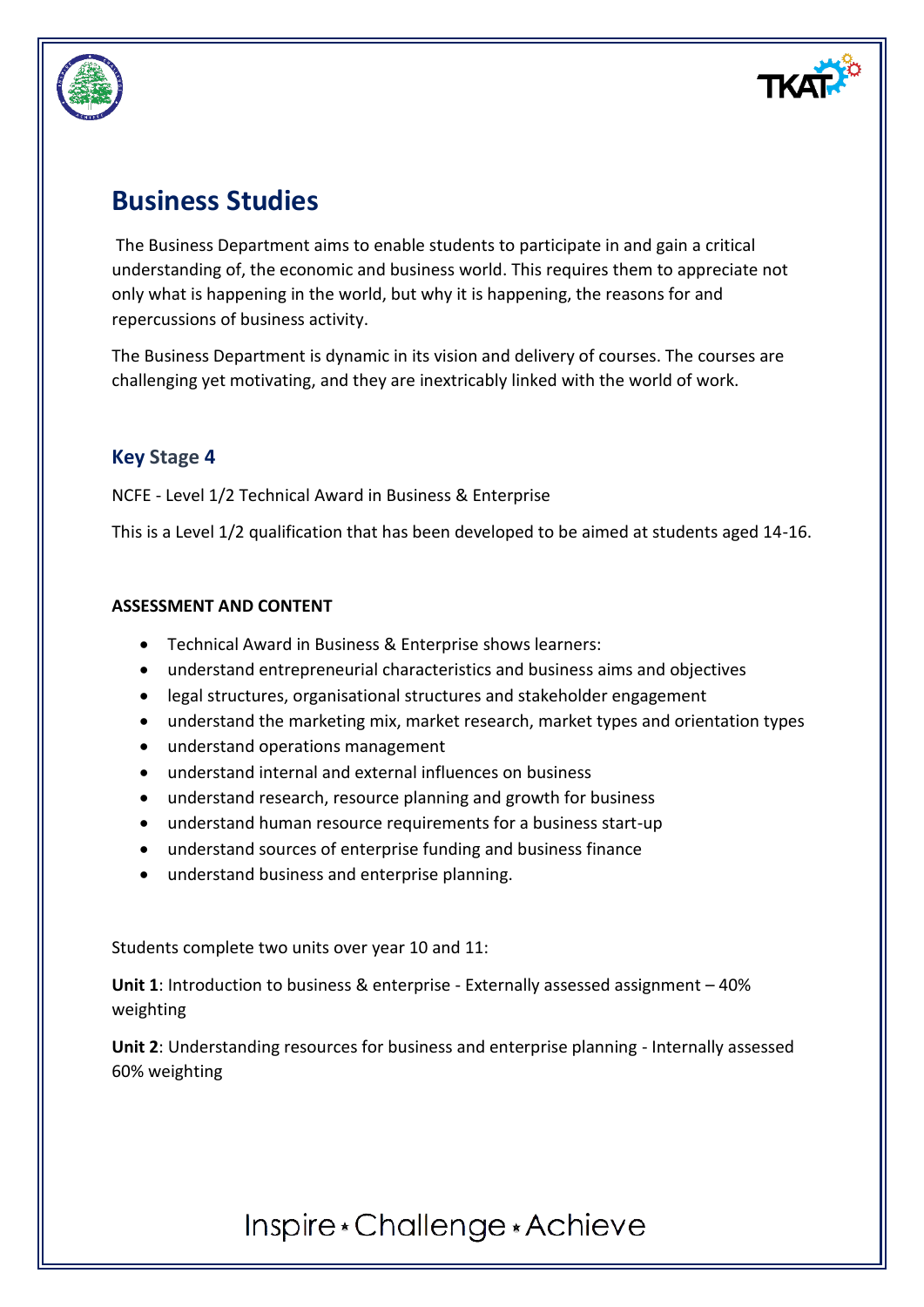

# **Business Studies**

The Business Department aims to enable students to participate in and gain a critical understanding of, the economic and business world. This requires them to appreciate not only what is happening in the world, but why it is happening, the reasons for and repercussions of business activity.

The Business Department is dynamic in its vision and delivery of courses. The courses are challenging yet motivating, and they are inextricably linked with the world of work.

## **Key Stage 4**

NCFE - Level 1/2 Technical Award in Business & Enterprise

This is a Level 1/2 qualification that has been developed to be aimed at students aged 14-16.

#### **ASSESSMENT AND CONTENT**

- Technical Award in Business & Enterprise shows learners:
- understand entrepreneurial characteristics and business aims and objectives
- legal structures, organisational structures and stakeholder engagement
- understand the marketing mix, market research, market types and orientation types
- understand operations management
- understand internal and external influences on business
- understand research, resource planning and growth for business
- understand human resource requirements for a business start-up
- understand sources of enterprise funding and business finance
- understand business and enterprise planning.

Students complete two units over year 10 and 11:

**Unit 1**: Introduction to business & enterprise - Externally assessed assignment – 40% weighting

**Unit 2**: Understanding resources for business and enterprise planning - Internally assessed 60% weighting

Inspire \* Challenge \* Achieve